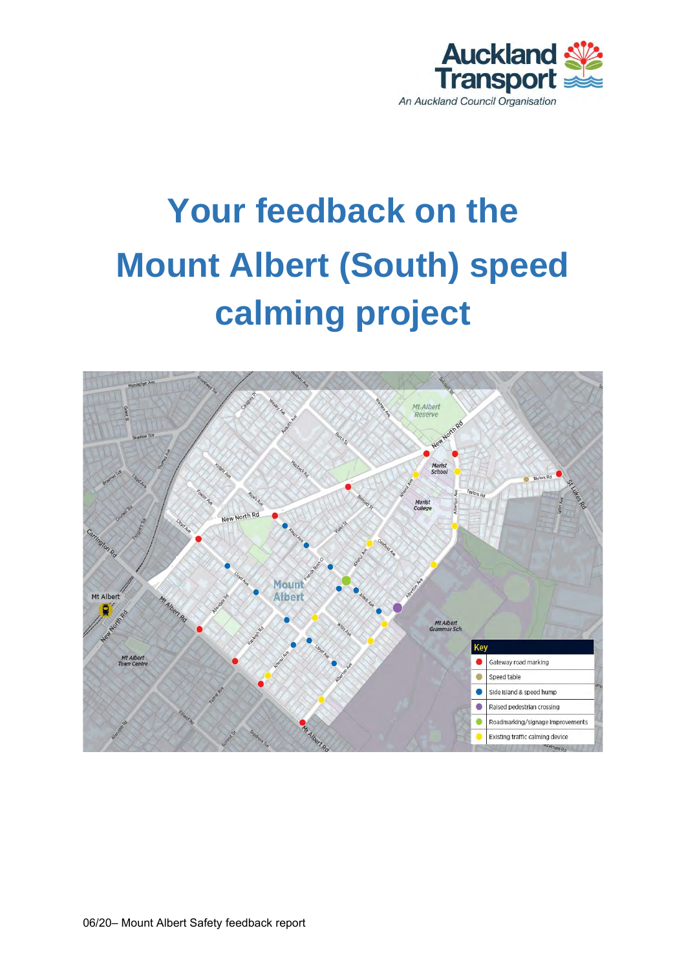

# **Your feedback on the Mount Albert (South) speed calming project**

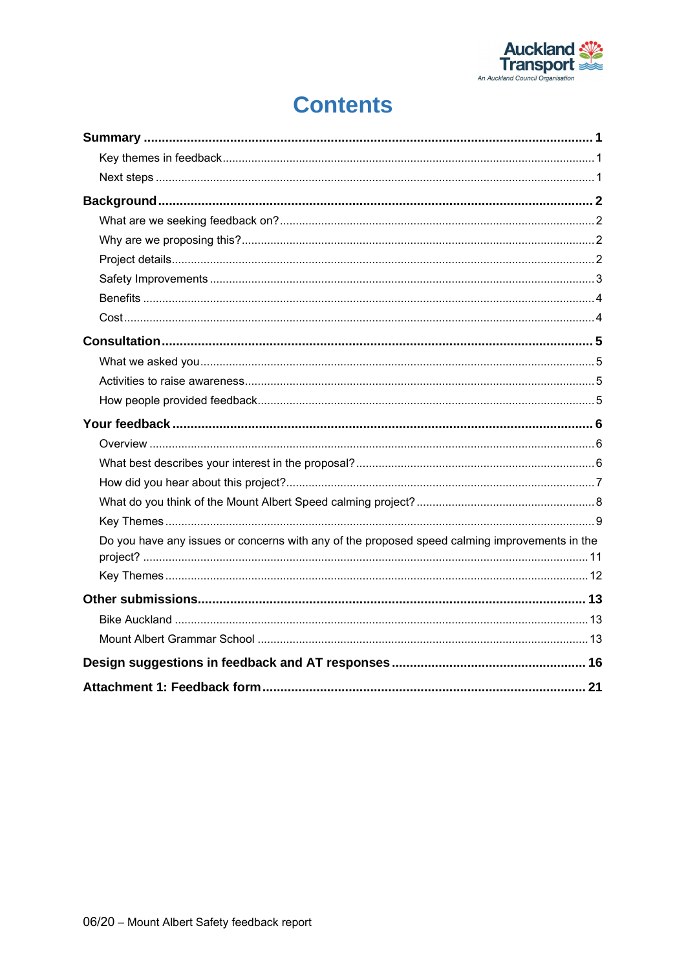

## **Contents**

| Do you have any issues or concerns with any of the proposed speed calming improvements in the |  |
|-----------------------------------------------------------------------------------------------|--|
|                                                                                               |  |
|                                                                                               |  |
|                                                                                               |  |
|                                                                                               |  |
|                                                                                               |  |
|                                                                                               |  |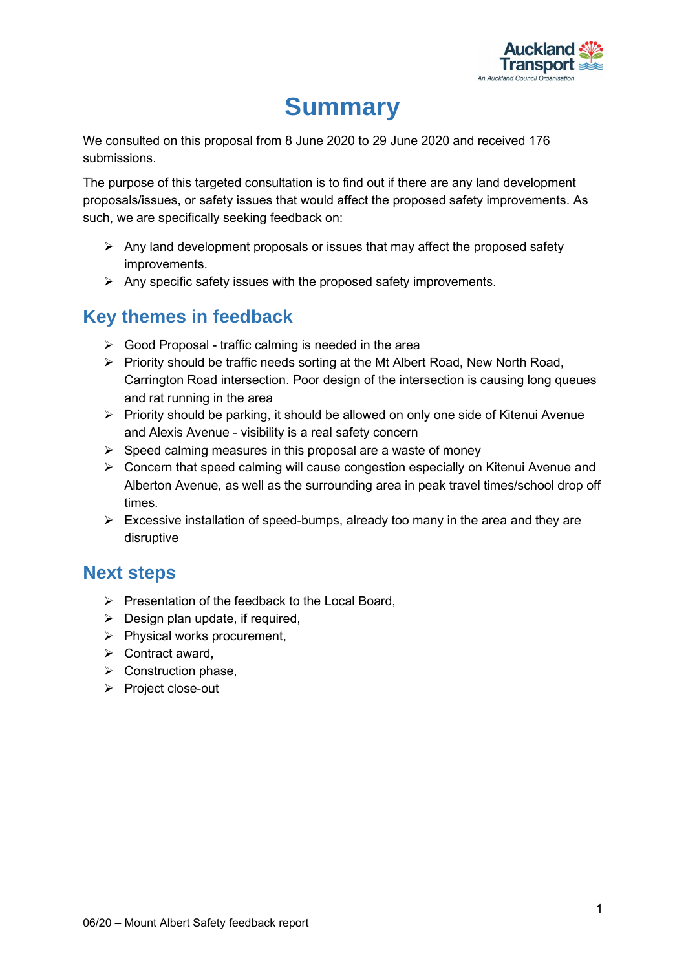

## **Summary**

<span id="page-2-0"></span>We consulted on this proposal from 8 June 2020 to 29 June 2020 and received 176 submissions.

The purpose of this targeted consultation is to find out if there are any land development proposals/issues, or safety issues that would affect the proposed safety improvements. As such, we are specifically seeking feedback on:

- $\triangleright$  Any land development proposals or issues that may affect the proposed safety improvements.
- $\triangleright$  Any specific safety issues with the proposed safety improvements.

## <span id="page-2-1"></span>**Key themes in feedback**

- $\triangleright$  Good Proposal traffic calming is needed in the area
- $\triangleright$  Priority should be traffic needs sorting at the Mt Albert Road, New North Road, Carrington Road intersection. Poor design of the intersection is causing long queues and rat running in the area
- $\triangleright$  Priority should be parking, it should be allowed on only one side of Kitenui Avenue and Alexis Avenue - visibility is a real safety concern
- $\triangleright$  Speed calming measures in this proposal are a waste of money
- ➢ Concern that speed calming will cause congestion especially on Kitenui Avenue and Alberton Avenue, as well as the surrounding area in peak travel times/school drop off times.
- $\triangleright$  Excessive installation of speed-bumps, already too many in the area and they are disruptive

### <span id="page-2-2"></span>**Next steps**

- ➢ Presentation of the feedback to the Local Board,
- $\triangleright$  Design plan update, if required,
- ➢ Physical works procurement,
- ➢ Contract award,
- ➢ Construction phase,
- ➢ Project close-out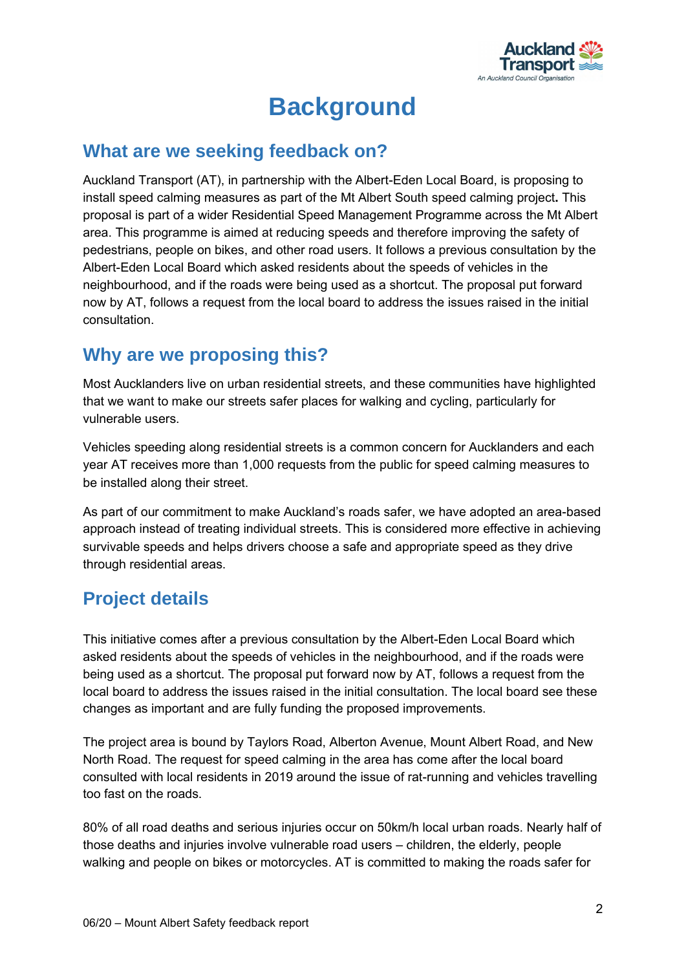

## **Background**

### <span id="page-3-1"></span><span id="page-3-0"></span>**What are we seeking feedback on?**

Auckland Transport (AT), in partnership with the Albert-Eden Local Board, is proposing to install speed calming measures as part of the Mt Albert South speed calming project**.** This proposal is part of a wider Residential Speed Management Programme across the Mt Albert area. This programme is aimed at reducing speeds and therefore improving the safety of pedestrians, people on bikes, and other road users. It follows a previous consultation by the Albert-Eden Local Board which asked residents about the speeds of vehicles in the neighbourhood, and if the roads were being used as a shortcut. The proposal put forward now by AT, follows a request from the local board to address the issues raised in the initial consultation.

## <span id="page-3-2"></span>**Why are we proposing this?**

Most Aucklanders live on urban residential streets, and these communities have highlighted that we want to make our streets safer places for walking and cycling, particularly for vulnerable users.

Vehicles speeding along residential streets is a common concern for Aucklanders and each year AT receives more than 1,000 requests from the public for speed calming measures to be installed along their street.

As part of our commitment to make Auckland's roads safer, we have adopted an area-based approach instead of treating individual streets. This is considered more effective in achieving survivable speeds and helps drivers choose a safe and appropriate speed as they drive through residential areas.

## <span id="page-3-3"></span>**Project details**

This initiative comes after a previous consultation by the Albert-Eden Local Board which asked residents about the speeds of vehicles in the neighbourhood, and if the roads were being used as a shortcut. The proposal put forward now by AT, follows a request from the local board to address the issues raised in the initial consultation. The local board see these changes as important and are fully funding the proposed improvements.

The project area is bound by Taylors Road, Alberton Avenue, Mount Albert Road, and New North Road. The request for speed calming in the area has come after the local board consulted with local residents in 2019 around the issue of rat-running and vehicles travelling too fast on the roads.

80% of all road deaths and serious injuries occur on 50km/h local urban roads. Nearly half of those deaths and injuries involve vulnerable road users – children, the elderly, people walking and people on bikes or motorcycles. AT is committed to making the roads safer for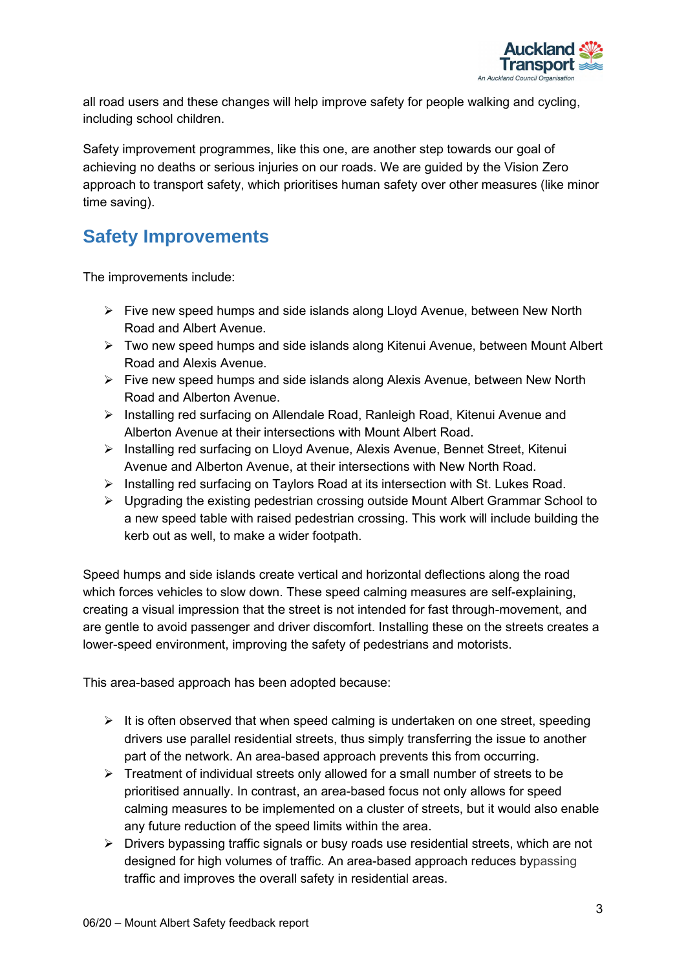

all road users and these changes will help improve safety for people walking and cycling, including school children.

Safety improvement programmes, like this one, are another step towards our goal of achieving no deaths or serious injuries on our roads. We are guided by the [Vision Zero](https://at.govt.nz/projects-roadworks/vision-zero-for-the-greater-good/) approach to transport safety, which prioritises human safety over other measures (like minor time saving).

## <span id="page-4-0"></span>**Safety Improvements**

The improvements include:

- ➢ Five new speed humps and side islands along Lloyd Avenue, between New North Road and Albert Avenue.
- ➢ Two new speed humps and side islands along Kitenui Avenue, between Mount Albert Road and Alexis Avenue.
- ➢ Five new speed humps and side islands along Alexis Avenue, between New North Road and Alberton Avenue.
- ➢ Installing red surfacing on Allendale Road, Ranleigh Road, Kitenui Avenue and Alberton Avenue at their intersections with Mount Albert Road.
- ➢ Installing red surfacing on Lloyd Avenue, Alexis Avenue, Bennet Street, Kitenui Avenue and Alberton Avenue, at their intersections with New North Road.
- ➢ Installing red surfacing on Taylors Road at its intersection with St. Lukes Road.
- $\triangleright$  Upgrading the existing pedestrian crossing outside Mount Albert Grammar School to a new speed table with raised pedestrian crossing. This work will include building the kerb out as well, to make a wider footpath.

Speed humps and side islands create vertical and horizontal deflections along the road which forces vehicles to slow down. These speed calming measures are self-explaining, creating a visual impression that the street is not intended for fast through-movement, and are gentle to avoid passenger and driver discomfort. Installing these on the streets creates a lower-speed environment, improving the safety of pedestrians and motorists.

This area-based approach has been adopted because:

- $\triangleright$  It is often observed that when speed calming is undertaken on one street, speeding drivers use parallel residential streets, thus simply transferring the issue to another part of the network. An area-based approach prevents this from occurring.
- ➢ Treatment of individual streets only allowed for a small number of streets to be prioritised annually. In contrast, an area-based focus not only allows for speed calming measures to be implemented on a cluster of streets, but it would also enable any future reduction of the speed limits within the area.
- $\triangleright$  Drivers bypassing traffic signals or busy roads use residential streets, which are not designed for high volumes of traffic. An area-based approach reduces bypassing traffic and improves the overall safety in residential areas.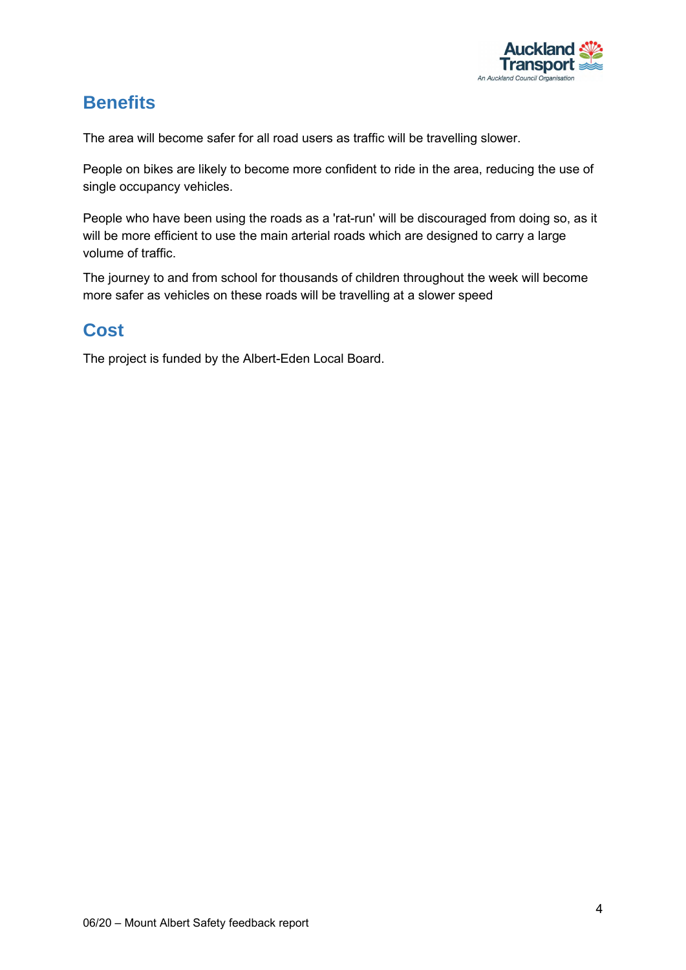

## <span id="page-5-0"></span>**Benefits**

The area will become safer for all road users as traffic will be travelling slower.

People on bikes are likely to become more confident to ride in the area, reducing the use of single occupancy vehicles.

People who have been using the roads as a 'rat-run' will be discouraged from doing so, as it will be more efficient to use the main arterial roads which are designed to carry a large volume of traffic.

The journey to and from school for thousands of children throughout the week will become more safer as vehicles on these roads will be travelling at a slower speed

## <span id="page-5-1"></span>**Cost**

The project is funded by the [Albert-Eden Local Board.](https://www.aucklandcouncil.govt.nz/about-auckland-council/how-auckland-council-works/local-boards/all-local-boards/albert-eden-local-board/Pages/default.aspx)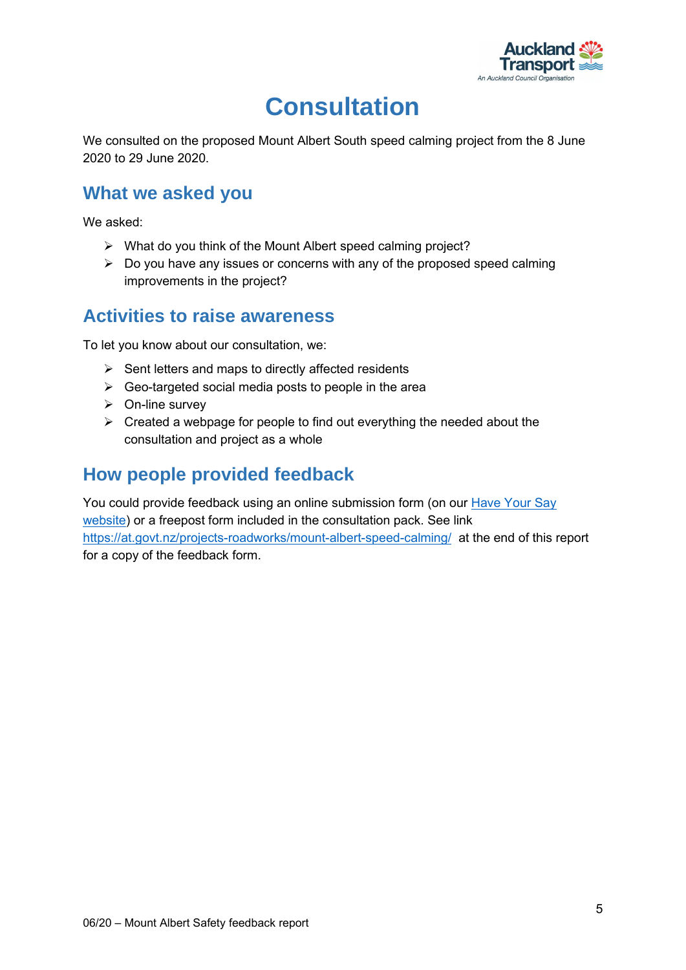

## **Consultation**

<span id="page-6-0"></span>We consulted on the proposed Mount Albert South speed calming project from the 8 June 2020 to 29 June 2020.

### <span id="page-6-1"></span>**What we asked you**

We asked:

- ➢ What do you think of the Mount Albert speed calming project?
- $\triangleright$  Do you have any issues or concerns with any of the proposed speed calming improvements in the project?

### <span id="page-6-2"></span>**Activities to raise awareness**

To let you know about our consultation, we:

- $\triangleright$  Sent letters and maps to directly affected residents
- $\triangleright$  Geo-targeted social media posts to people in the area
- ➢ On-line survey
- $\triangleright$  Created a webpage for people to find out everything the needed about the consultation and project as a whole

### <span id="page-6-3"></span>**How people provided feedback**

You could provide feedback using an online submission form (on our [Have Your Say](https://at.govt.nz/haveyoursay)  [website\)](https://at.govt.nz/haveyoursay) or a freepost form included in the consultation pack. See link <https://at.govt.nz/projects-roadworks/mount-albert-speed-calming/> at the end of this report for a copy of the feedback form.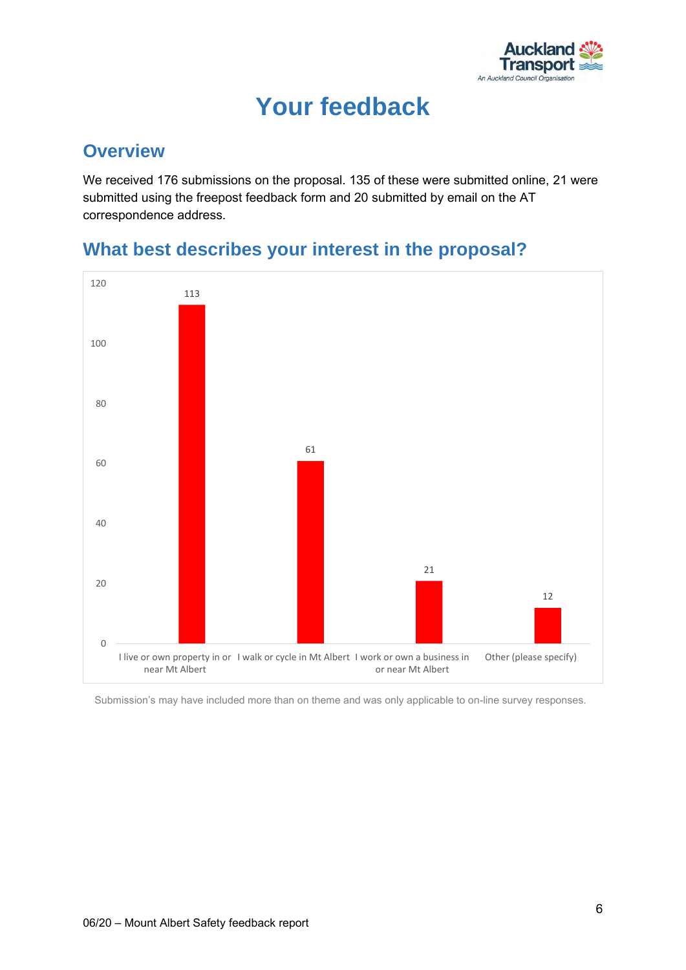

## **Your feedback**

### <span id="page-7-1"></span><span id="page-7-0"></span>**Overview**

We received 176 submissions on the proposal. 135 of these were submitted online, 21 were submitted using the freepost feedback form and 20 submitted by email on the AT correspondence address.



## <span id="page-7-2"></span>**What best describes your interest in the proposal?**

Submission's may have included more than on theme and was only applicable to on-line survey responses.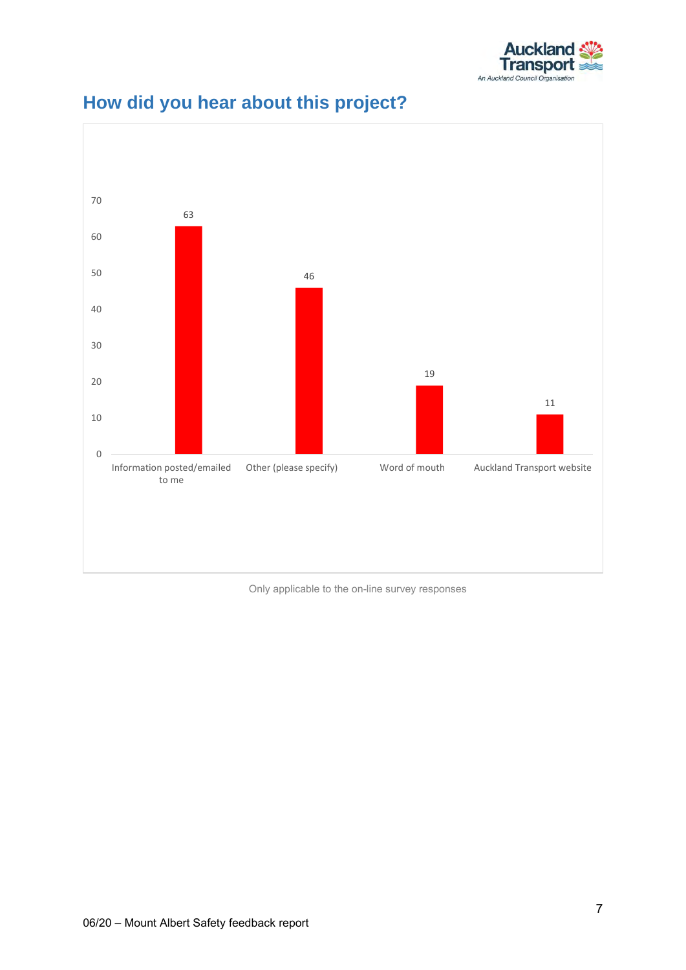



## <span id="page-8-0"></span>**How did you hear about this project?**

Only applicable to the on-line survey responses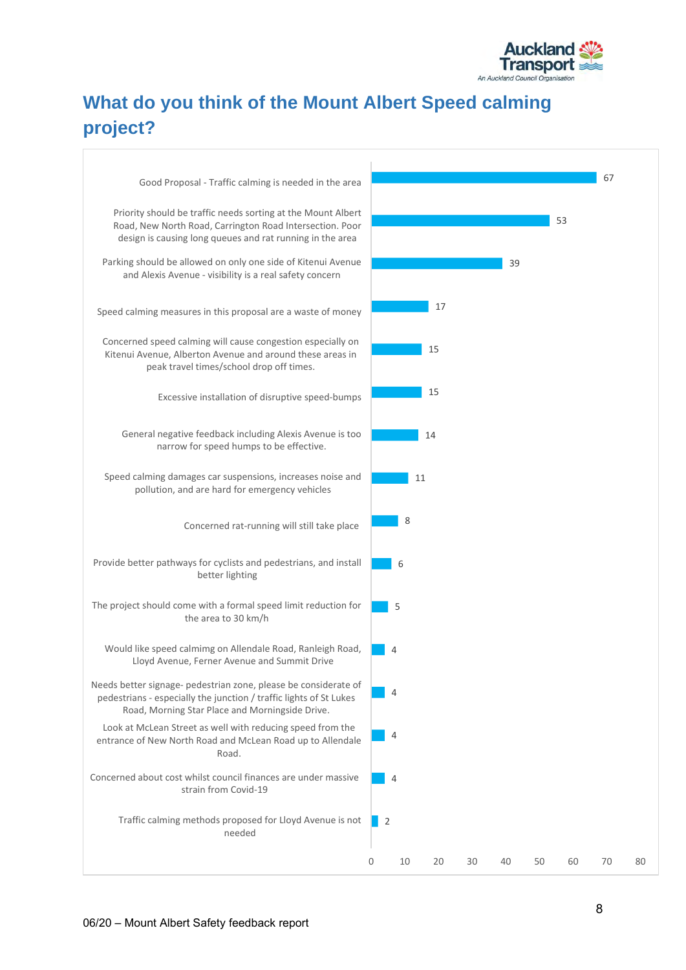

## <span id="page-9-0"></span>**What do you think of the Mount Albert Speed calming project?**

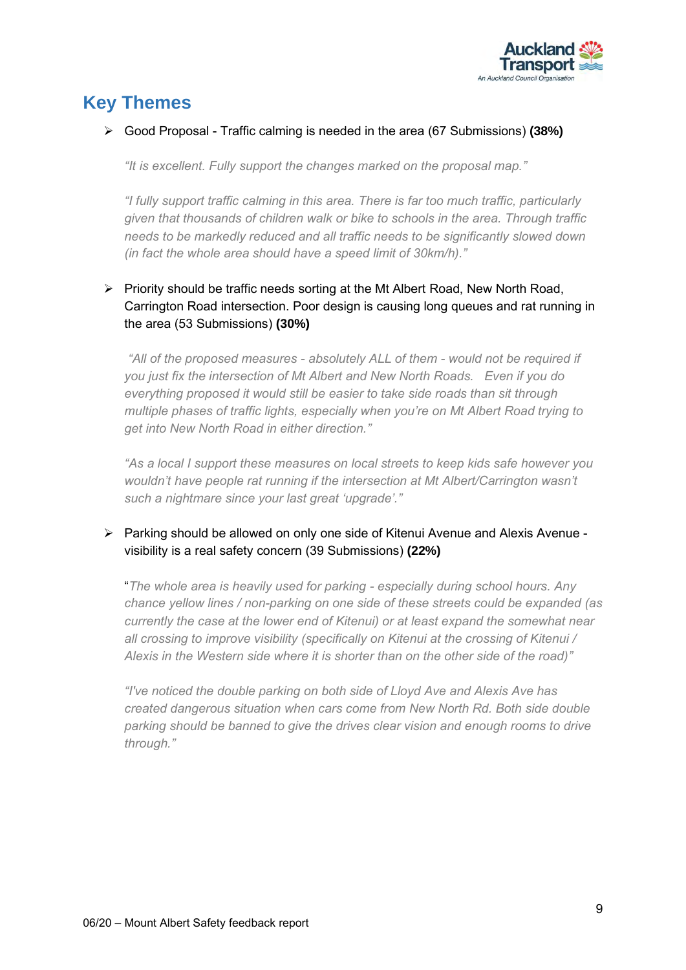

## <span id="page-10-0"></span>**Key Themes**

#### ➢ Good Proposal - Traffic calming is needed in the area (67 Submissions) **(38%)**

*"It is excellent. Fully support the changes marked on the proposal map."*

*"I fully support traffic calming in this area. There is far too much traffic, particularly given that thousands of children walk or bike to schools in the area. Through traffic needs to be markedly reduced and all traffic needs to be significantly slowed down (in fact the whole area should have a speed limit of 30km/h)."*

#### ➢ Priority should be traffic needs sorting at the Mt Albert Road, New North Road, Carrington Road intersection. Poor design is causing long queues and rat running in the area (53 Submissions) **(30%)**

*"All of the proposed measures - absolutely ALL of them - would not be required if you just fix the intersection of Mt Albert and New North Roads. Even if you do everything proposed it would still be easier to take side roads than sit through multiple phases of traffic lights, especially when you're on Mt Albert Road trying to get into New North Road in either direction."*

*"As a local I support these measures on local streets to keep kids safe however you wouldn't have people rat running if the intersection at Mt Albert/Carrington wasn't such a nightmare since your last great 'upgrade'."*

#### ➢ Parking should be allowed on only one side of Kitenui Avenue and Alexis Avenue visibility is a real safety concern (39 Submissions) **(22%)**

"*The whole area is heavily used for parking - especially during school hours. Any chance yellow lines / non-parking on one side of these streets could be expanded (as currently the case at the lower end of Kitenui) or at least expand the somewhat near all crossing to improve visibility (specifically on Kitenui at the crossing of Kitenui / Alexis in the Western side where it is shorter than on the other side of the road)"*

*"I've noticed the double parking on both side of Lloyd Ave and Alexis Ave has created dangerous situation when cars come from New North Rd. Both side double parking should be banned to give the drives clear vision and enough rooms to drive through."*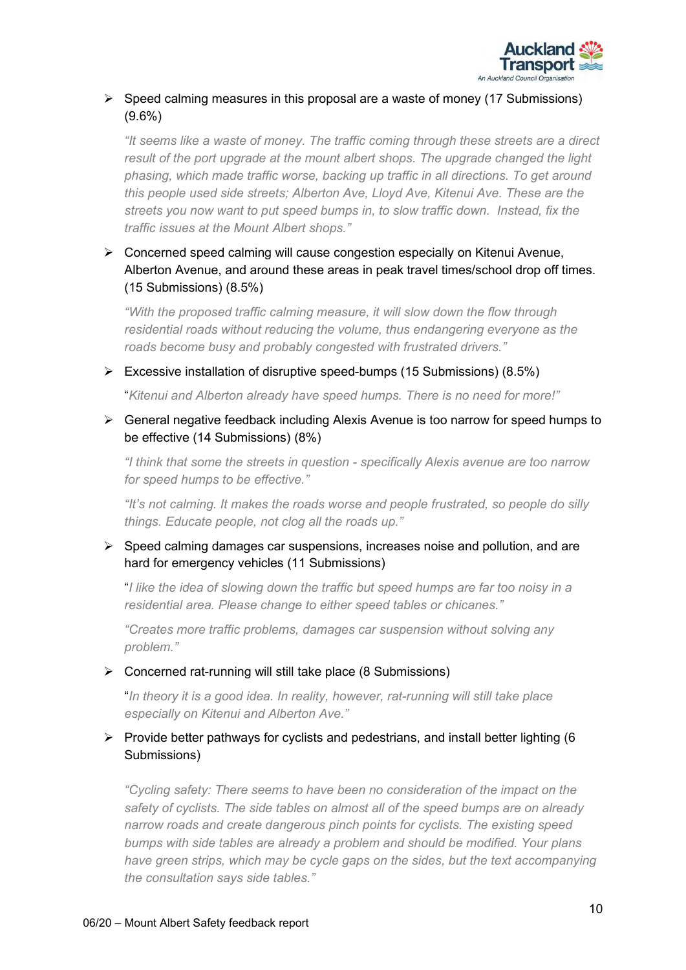

#### $\triangleright$  Speed calming measures in this proposal are a waste of money (17 Submissions) (9.6%)

*"It seems like a waste of money. The traffic coming through these streets are a direct result of the port upgrade at the mount albert shops. The upgrade changed the light phasing, which made traffic worse, backing up traffic in all directions. To get around this people used side streets; Alberton Ave, Lloyd Ave, Kitenui Ave. These are the streets you now want to put speed bumps in, to slow traffic down. Instead, fix the traffic issues at the Mount Albert shops."*

#### ➢ Concerned speed calming will cause congestion especially on Kitenui Avenue, Alberton Avenue, and around these areas in peak travel times/school drop off times. (15 Submissions) (8.5%)

*"With the proposed traffic calming measure, it will slow down the flow through residential roads without reducing the volume, thus endangering everyone as the roads become busy and probably congested with frustrated drivers."*

#### ➢ Excessive installation of disruptive speed-bumps (15 Submissions) (8.5%)

"*Kitenui and Alberton already have speed humps. There is no need for more!"*

#### ➢ General negative feedback including Alexis Avenue is too narrow for speed humps to be effective (14 Submissions) (8%)

*"I think that some the streets in question - specifically Alexis avenue are too narrow for speed humps to be effective."*

*"It's not calming. It makes the roads worse and people frustrated, so people do silly things. Educate people, not clog all the roads up."*

#### ➢ Speed calming damages car suspensions, increases noise and pollution, and are hard for emergency vehicles (11 Submissions)

"*I like the idea of slowing down the traffic but speed humps are far too noisy in a residential area. Please change to either speed tables or chicanes."*

*"Creates more traffic problems, damages car suspension without solving any problem."*

#### $\triangleright$  Concerned rat-running will still take place (8 Submissions)

"*In theory it is a good idea. In reality, however, rat-running will still take place especially on Kitenui and Alberton Ave."*

#### $\triangleright$  Provide better pathways for cyclists and pedestrians, and install better lighting (6) Submissions)

*"Cycling safety: There seems to have been no consideration of the impact on the safety of cyclists. The side tables on almost all of the speed bumps are on already narrow roads and create dangerous pinch points for cyclists. The existing speed bumps with side tables are already a problem and should be modified. Your plans have green strips, which may be cycle gaps on the sides, but the text accompanying the consultation says side tables."*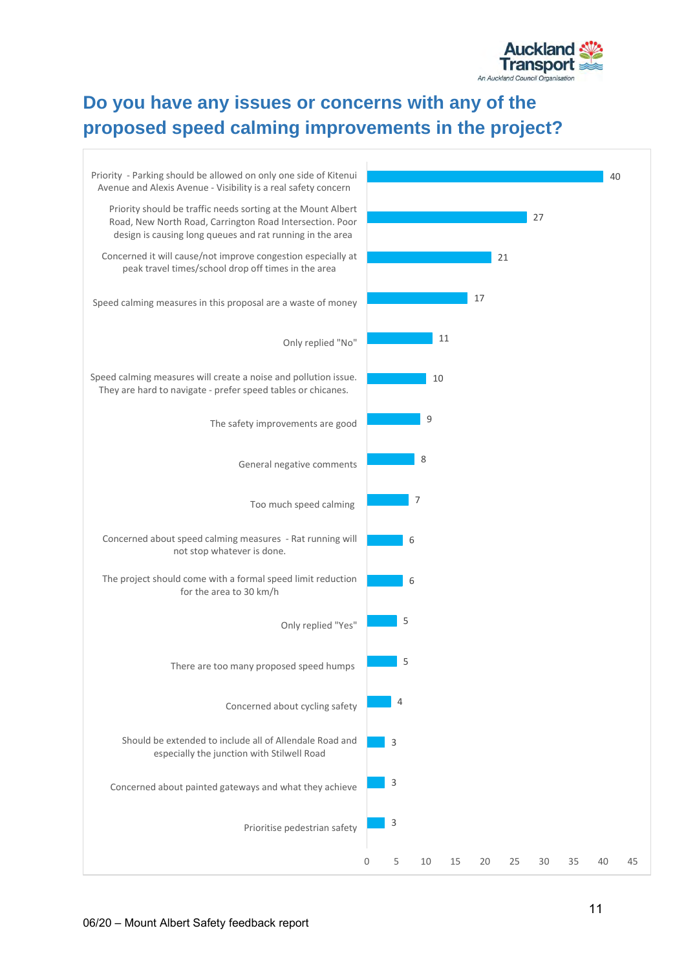

## <span id="page-12-0"></span>**Do you have any issues or concerns with any of the proposed speed calming improvements in the project?**

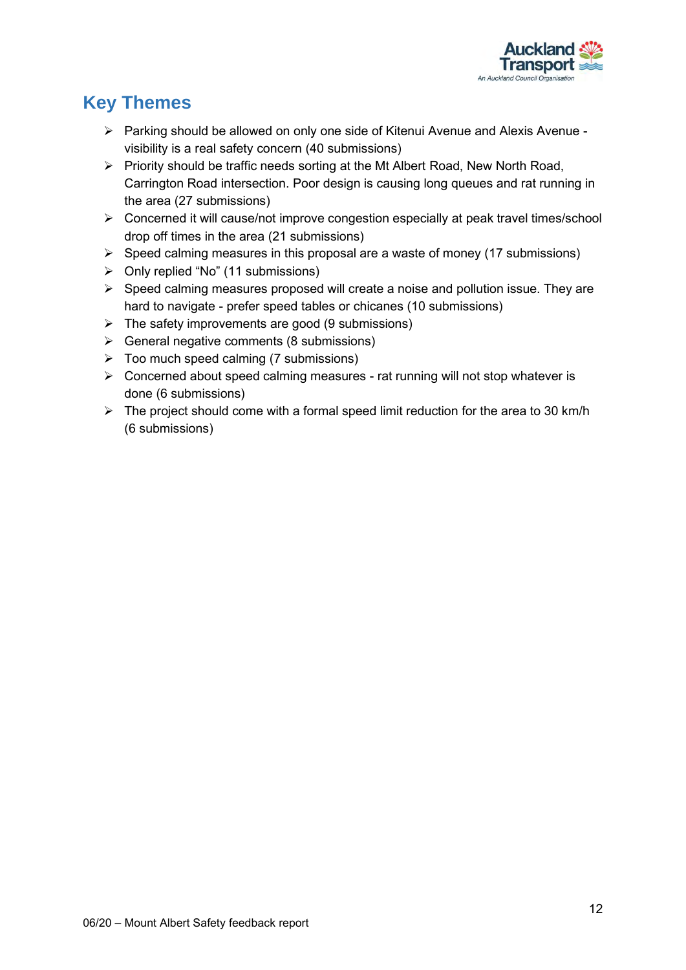

## <span id="page-13-0"></span>**Key Themes**

- ➢ Parking should be allowed on only one side of Kitenui Avenue and Alexis Avenue visibility is a real safety concern (40 submissions)
- ➢ Priority should be traffic needs sorting at the Mt Albert Road, New North Road, Carrington Road intersection. Poor design is causing long queues and rat running in the area (27 submissions)
- ➢ Concerned it will cause/not improve congestion especially at peak travel times/school drop off times in the area (21 submissions)
- $\triangleright$  Speed calming measures in this proposal are a waste of money (17 submissions)
- ➢ Only replied "No" (11 submissions)
- ➢ Speed calming measures proposed will create a noise and pollution issue. They are hard to navigate - prefer speed tables or chicanes (10 submissions)
- $\triangleright$  The safety improvements are good (9 submissions)
- $\triangleright$  General negative comments (8 submissions)
- ➢ Too much speed calming (7 submissions)
- ➢ Concerned about speed calming measures rat running will not stop whatever is done (6 submissions)
- $\triangleright$  The project should come with a formal speed limit reduction for the area to 30 km/h (6 submissions)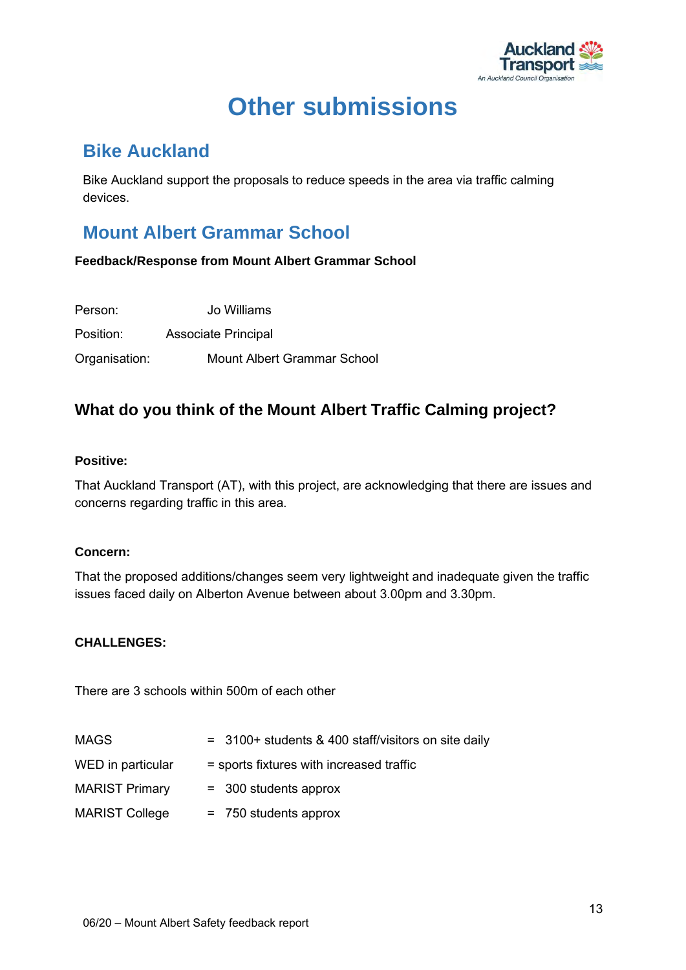

## **Other submissions**

### <span id="page-14-1"></span><span id="page-14-0"></span>**Bike Auckland**

Bike Auckland support the proposals to reduce speeds in the area via traffic calming devices.

## <span id="page-14-2"></span>**Mount Albert Grammar School**

**Feedback/Response from Mount Albert Grammar School**

| Person:       | Jo Williams                 |
|---------------|-----------------------------|
| Position:     | <b>Associate Principal</b>  |
| Organisation: | Mount Albert Grammar School |

### **What do you think of the Mount Albert Traffic Calming project?**

#### **Positive:**

That Auckland Transport (AT), with this project, are acknowledging that there are issues and concerns regarding traffic in this area.

#### **Concern:**

That the proposed additions/changes seem very lightweight and inadequate given the traffic issues faced daily on Alberton Avenue between about 3.00pm and 3.30pm.

#### **CHALLENGES:**

There are 3 schools within 500m of each other

| <b>MAGS</b>           | = 3100+ students & 400 staff/visitors on site daily |
|-----------------------|-----------------------------------------------------|
| WED in particular     | = sports fixtures with increased traffic            |
| <b>MARIST Primary</b> | $=$ 300 students approx                             |
| <b>MARIST College</b> | $= 750$ students approx                             |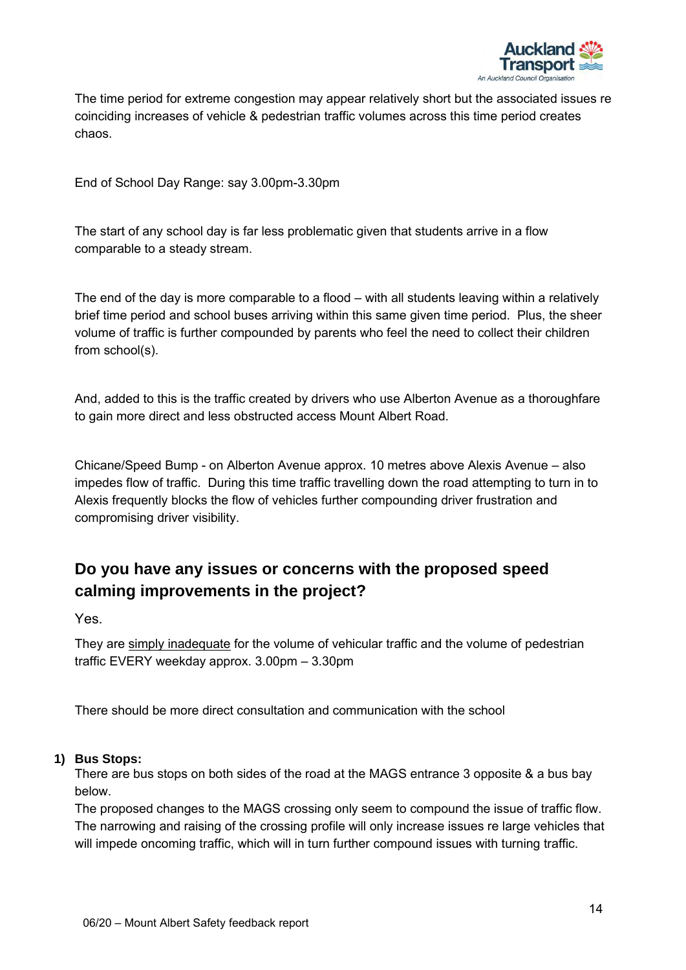

The time period for extreme congestion may appear relatively short but the associated issues re coinciding increases of vehicle & pedestrian traffic volumes across this time period creates chaos.

End of School Day Range: say 3.00pm-3.30pm

The start of any school day is far less problematic given that students arrive in a flow comparable to a steady stream.

The end of the day is more comparable to a flood – with all students leaving within a relatively brief time period and school buses arriving within this same given time period. Plus, the sheer volume of traffic is further compounded by parents who feel the need to collect their children from school(s).

And, added to this is the traffic created by drivers who use Alberton Avenue as a thoroughfare to gain more direct and less obstructed access Mount Albert Road.

Chicane/Speed Bump - on Alberton Avenue approx. 10 metres above Alexis Avenue – also impedes flow of traffic. During this time traffic travelling down the road attempting to turn in to Alexis frequently blocks the flow of vehicles further compounding driver frustration and compromising driver visibility.

### **Do you have any issues or concerns with the proposed speed calming improvements in the project?**

Yes.

They are simply inadequate for the volume of vehicular traffic and the volume of pedestrian traffic EVERY weekday approx. 3.00pm – 3.30pm

There should be more direct consultation and communication with the school

#### **1) Bus Stops:**

There are bus stops on both sides of the road at the MAGS entrance 3 opposite & a bus bay below.

The proposed changes to the MAGS crossing only seem to compound the issue of traffic flow. The narrowing and raising of the crossing profile will only increase issues re large vehicles that will impede oncoming traffic, which will in turn further compound issues with turning traffic.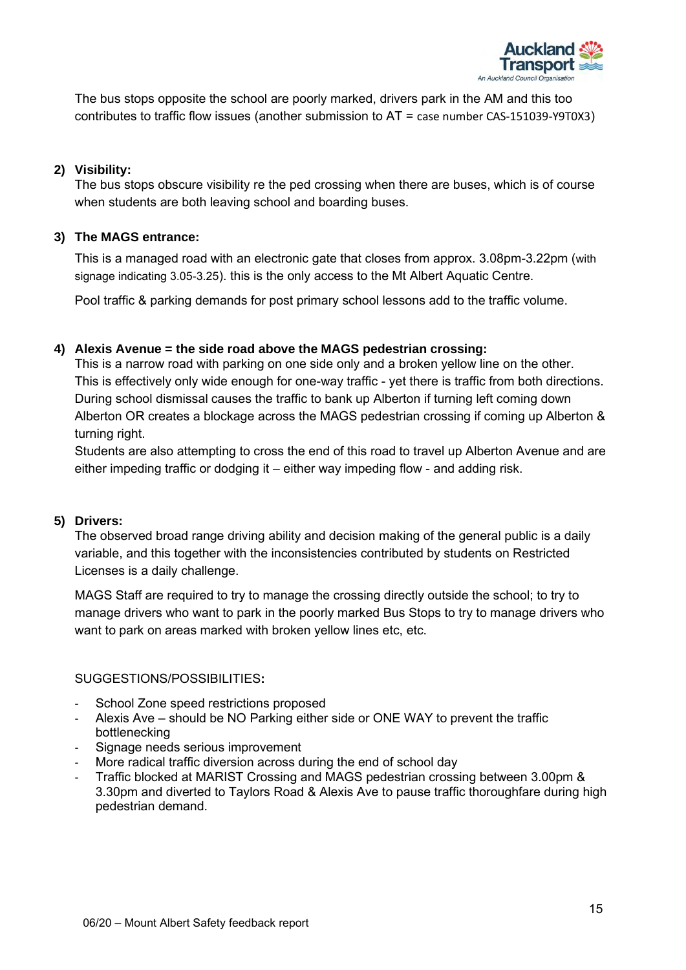

The bus stops opposite the school are poorly marked, drivers park in the AM and this too contributes to traffic flow issues (another submission to AT = case number CAS-151039-Y9T0X3)

#### **2) Visibility:**

The bus stops obscure visibility re the ped crossing when there are buses, which is of course when students are both leaving school and boarding buses.

#### **3) The MAGS entrance:**

This is a managed road with an electronic gate that closes from approx. 3.08pm-3.22pm (with signage indicating 3.05-3.25). this is the only access to the Mt Albert Aquatic Centre.

Pool traffic & parking demands for post primary school lessons add to the traffic volume.

#### **4) Alexis Avenue = the side road above the MAGS pedestrian crossing:**

This is a narrow road with parking on one side only and a broken yellow line on the other. This is effectively only wide enough for one-way traffic - yet there is traffic from both directions. During school dismissal causes the traffic to bank up Alberton if turning left coming down Alberton OR creates a blockage across the MAGS pedestrian crossing if coming up Alberton & turning right.

Students are also attempting to cross the end of this road to travel up Alberton Avenue and are either impeding traffic or dodging it – either way impeding flow - and adding risk.

#### **5) Drivers:**

The observed broad range driving ability and decision making of the general public is a daily variable, and this together with the inconsistencies contributed by students on Restricted Licenses is a daily challenge.

MAGS Staff are required to try to manage the crossing directly outside the school; to try to manage drivers who want to park in the poorly marked Bus Stops to try to manage drivers who want to park on areas marked with broken yellow lines etc, etc.

#### SUGGESTIONS/POSSIBILITIES**:**

- School Zone speed restrictions proposed
- Alexis Ave should be NO Parking either side or ONE WAY to prevent the traffic bottlenecking
- Signage needs serious improvement
- More radical traffic diversion across during the end of school day
- Traffic blocked at MARIST Crossing and MAGS pedestrian crossing between 3.00pm & 3.30pm and diverted to Taylors Road & Alexis Ave to pause traffic thoroughfare during high pedestrian demand.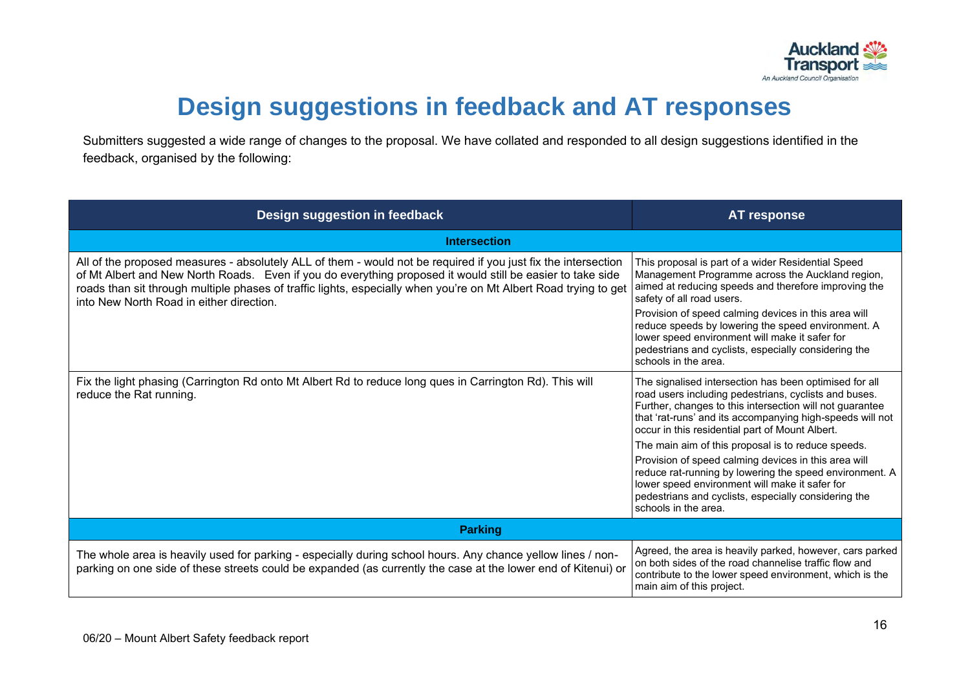

## **Design suggestions in feedback and AT responses**

Submitters suggested a wide range of changes to the proposal. We have collated and responded to all design suggestions identified in the feedback, organised by the following:

<span id="page-17-0"></span>

| Design suggestion in feedback                                                                                                                                                                                                                                                                                                                                                                | <b>AT response</b>                                                                                                                                                                                                                                                                                      |
|----------------------------------------------------------------------------------------------------------------------------------------------------------------------------------------------------------------------------------------------------------------------------------------------------------------------------------------------------------------------------------------------|---------------------------------------------------------------------------------------------------------------------------------------------------------------------------------------------------------------------------------------------------------------------------------------------------------|
| <b>Intersection</b>                                                                                                                                                                                                                                                                                                                                                                          |                                                                                                                                                                                                                                                                                                         |
| All of the proposed measures - absolutely ALL of them - would not be required if you just fix the intersection<br>of Mt Albert and New North Roads. Even if you do everything proposed it would still be easier to take side<br>roads than sit through multiple phases of traffic lights, especially when you're on Mt Albert Road trying to get<br>into New North Road in either direction. | This proposal is part of a wider Residential Speed<br>Management Programme across the Auckland region,<br>aimed at reducing speeds and therefore improving the<br>safety of all road users.                                                                                                             |
|                                                                                                                                                                                                                                                                                                                                                                                              | Provision of speed calming devices in this area will<br>reduce speeds by lowering the speed environment. A<br>lower speed environment will make it safer for<br>pedestrians and cyclists, especially considering the<br>schools in the area.                                                            |
| Fix the light phasing (Carrington Rd onto Mt Albert Rd to reduce long ques in Carrington Rd). This will<br>reduce the Rat running.                                                                                                                                                                                                                                                           | The signalised intersection has been optimised for all<br>road users including pedestrians, cyclists and buses.<br>Further, changes to this intersection will not guarantee<br>that 'rat-runs' and its accompanying high-speeds will not<br>occur in this residential part of Mount Albert.             |
|                                                                                                                                                                                                                                                                                                                                                                                              | The main aim of this proposal is to reduce speeds.<br>Provision of speed calming devices in this area will<br>reduce rat-running by lowering the speed environment. A<br>lower speed environment will make it safer for<br>pedestrians and cyclists, especially considering the<br>schools in the area. |
| <b>Parking</b>                                                                                                                                                                                                                                                                                                                                                                               |                                                                                                                                                                                                                                                                                                         |
| The whole area is heavily used for parking - especially during school hours. Any chance yellow lines / non-<br>parking on one side of these streets could be expanded (as currently the case at the lower end of Kitenui) or                                                                                                                                                                 | Agreed, the area is heavily parked, however, cars parked<br>on both sides of the road channelise traffic flow and<br>contribute to the lower speed environment, which is the<br>main aim of this project.                                                                                               |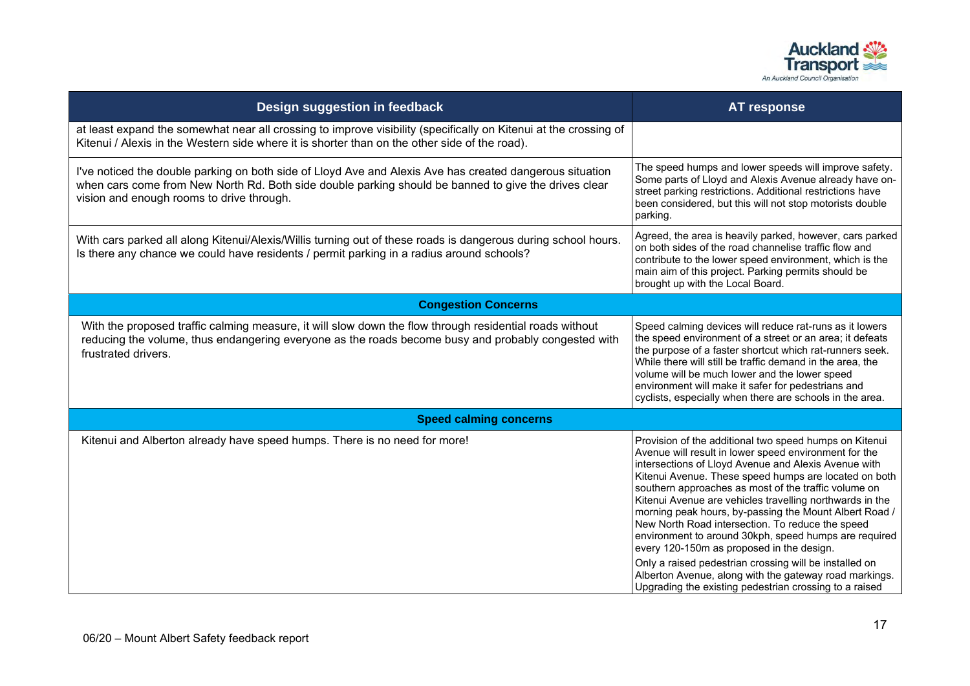

| Design suggestion in feedback                                                                                                                                                                                                                                 | <b>AT response</b>                                                                                                                                                                                                                                                                                                                                                                                                                                                                                                                                                                                                                                                                                                                                     |  |
|---------------------------------------------------------------------------------------------------------------------------------------------------------------------------------------------------------------------------------------------------------------|--------------------------------------------------------------------------------------------------------------------------------------------------------------------------------------------------------------------------------------------------------------------------------------------------------------------------------------------------------------------------------------------------------------------------------------------------------------------------------------------------------------------------------------------------------------------------------------------------------------------------------------------------------------------------------------------------------------------------------------------------------|--|
| at least expand the somewhat near all crossing to improve visibility (specifically on Kitenui at the crossing of<br>Kitenui / Alexis in the Western side where it is shorter than on the other side of the road).                                             |                                                                                                                                                                                                                                                                                                                                                                                                                                                                                                                                                                                                                                                                                                                                                        |  |
| I've noticed the double parking on both side of Lloyd Ave and Alexis Ave has created dangerous situation<br>when cars come from New North Rd. Both side double parking should be banned to give the drives clear<br>vision and enough rooms to drive through. | The speed humps and lower speeds will improve safety.<br>Some parts of Lloyd and Alexis Avenue already have on-<br>street parking restrictions. Additional restrictions have<br>been considered, but this will not stop motorists double<br>parking.                                                                                                                                                                                                                                                                                                                                                                                                                                                                                                   |  |
| With cars parked all along Kitenui/Alexis/Willis turning out of these roads is dangerous during school hours.<br>Is there any chance we could have residents / permit parking in a radius around schools?                                                     | Agreed, the area is heavily parked, however, cars parked<br>on both sides of the road channelise traffic flow and<br>contribute to the lower speed environment, which is the<br>main aim of this project. Parking permits should be<br>brought up with the Local Board.                                                                                                                                                                                                                                                                                                                                                                                                                                                                                |  |
| <b>Congestion Concerns</b>                                                                                                                                                                                                                                    |                                                                                                                                                                                                                                                                                                                                                                                                                                                                                                                                                                                                                                                                                                                                                        |  |
| With the proposed traffic calming measure, it will slow down the flow through residential roads without<br>reducing the volume, thus endangering everyone as the roads become busy and probably congested with<br>frustrated drivers.                         | Speed calming devices will reduce rat-runs as it lowers<br>the speed environment of a street or an area; it defeats<br>the purpose of a faster shortcut which rat-runners seek.<br>While there will still be traffic demand in the area, the<br>volume will be much lower and the lower speed<br>environment will make it safer for pedestrians and<br>cyclists, especially when there are schools in the area.                                                                                                                                                                                                                                                                                                                                        |  |
| <b>Speed calming concerns</b>                                                                                                                                                                                                                                 |                                                                                                                                                                                                                                                                                                                                                                                                                                                                                                                                                                                                                                                                                                                                                        |  |
| Kitenui and Alberton already have speed humps. There is no need for more!                                                                                                                                                                                     | Provision of the additional two speed humps on Kitenui<br>Avenue will result in lower speed environment for the<br>intersections of Lloyd Avenue and Alexis Avenue with<br>Kitenui Avenue. These speed humps are located on both<br>southern approaches as most of the traffic volume on<br>Kitenui Avenue are vehicles travelling northwards in the<br>morning peak hours, by-passing the Mount Albert Road /<br>New North Road intersection. To reduce the speed<br>environment to around 30kph, speed humps are required<br>every 120-150m as proposed in the design.<br>Only a raised pedestrian crossing will be installed on<br>Alberton Avenue, along with the gateway road markings.<br>Upgrading the existing pedestrian crossing to a raised |  |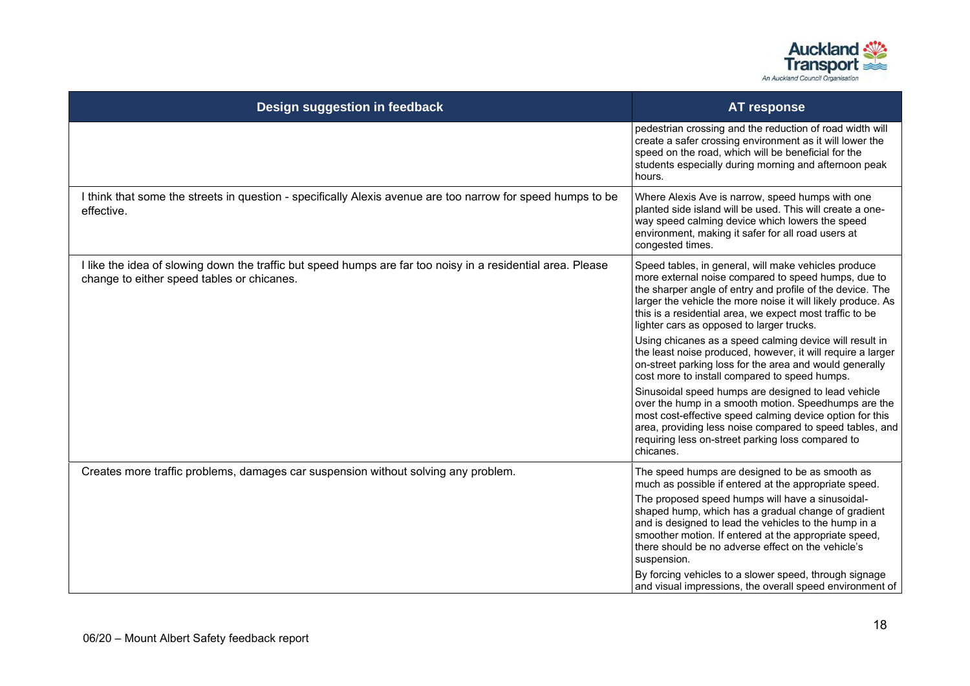

| Design suggestion in feedback                                                                                                                             | <b>AT response</b>                                                                                                                                                                                                                                                                                                                                |
|-----------------------------------------------------------------------------------------------------------------------------------------------------------|---------------------------------------------------------------------------------------------------------------------------------------------------------------------------------------------------------------------------------------------------------------------------------------------------------------------------------------------------|
|                                                                                                                                                           | pedestrian crossing and the reduction of road width will<br>create a safer crossing environment as it will lower the<br>speed on the road, which will be beneficial for the<br>students especially during morning and afternoon peak<br>hours.                                                                                                    |
| I think that some the streets in question - specifically Alexis avenue are too narrow for speed humps to be<br>effective.                                 | Where Alexis Ave is narrow, speed humps with one<br>planted side island will be used. This will create a one-<br>way speed calming device which lowers the speed<br>environment, making it safer for all road users at<br>congested times.                                                                                                        |
| I like the idea of slowing down the traffic but speed humps are far too noisy in a residential area. Please<br>change to either speed tables or chicanes. | Speed tables, in general, will make vehicles produce<br>more external noise compared to speed humps, due to<br>the sharper angle of entry and profile of the device. The<br>larger the vehicle the more noise it will likely produce. As<br>this is a residential area, we expect most traffic to be<br>lighter cars as opposed to larger trucks. |
|                                                                                                                                                           | Using chicanes as a speed calming device will result in<br>the least noise produced, however, it will require a larger<br>on-street parking loss for the area and would generally<br>cost more to install compared to speed humps.                                                                                                                |
|                                                                                                                                                           | Sinusoidal speed humps are designed to lead vehicle<br>over the hump in a smooth motion. Speedhumps are the<br>most cost-effective speed calming device option for this<br>area, providing less noise compared to speed tables, and<br>requiring less on-street parking loss compared to<br>chicanes.                                             |
| Creates more traffic problems, damages car suspension without solving any problem.                                                                        | The speed humps are designed to be as smooth as<br>much as possible if entered at the appropriate speed.                                                                                                                                                                                                                                          |
|                                                                                                                                                           | The proposed speed humps will have a sinusoidal-<br>shaped hump, which has a gradual change of gradient<br>and is designed to lead the vehicles to the hump in a<br>smoother motion. If entered at the appropriate speed,<br>there should be no adverse effect on the vehicle's<br>suspension.                                                    |
|                                                                                                                                                           | By forcing vehicles to a slower speed, through signage<br>and visual impressions, the overall speed environment of                                                                                                                                                                                                                                |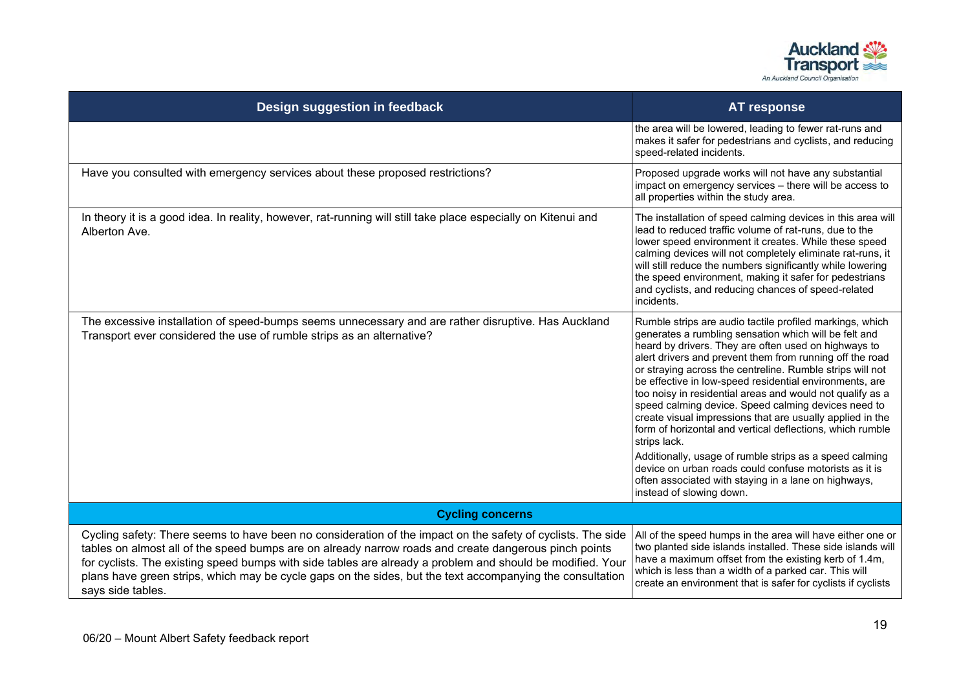

| Design suggestion in feedback                                                                                                                                                                                                                                                                                                                                                                                                                                        | <b>AT response</b>                                                                                                                                                                                                                                                                                                                                                                                                                                                                                                                                                                                                                                                                                                                                                                                                                   |
|----------------------------------------------------------------------------------------------------------------------------------------------------------------------------------------------------------------------------------------------------------------------------------------------------------------------------------------------------------------------------------------------------------------------------------------------------------------------|--------------------------------------------------------------------------------------------------------------------------------------------------------------------------------------------------------------------------------------------------------------------------------------------------------------------------------------------------------------------------------------------------------------------------------------------------------------------------------------------------------------------------------------------------------------------------------------------------------------------------------------------------------------------------------------------------------------------------------------------------------------------------------------------------------------------------------------|
|                                                                                                                                                                                                                                                                                                                                                                                                                                                                      | the area will be lowered, leading to fewer rat-runs and<br>makes it safer for pedestrians and cyclists, and reducing<br>speed-related incidents.                                                                                                                                                                                                                                                                                                                                                                                                                                                                                                                                                                                                                                                                                     |
| Have you consulted with emergency services about these proposed restrictions?                                                                                                                                                                                                                                                                                                                                                                                        | Proposed upgrade works will not have any substantial<br>impact on emergency services - there will be access to<br>all properties within the study area.                                                                                                                                                                                                                                                                                                                                                                                                                                                                                                                                                                                                                                                                              |
| In theory it is a good idea. In reality, however, rat-running will still take place especially on Kitenui and<br>Alberton Ave.                                                                                                                                                                                                                                                                                                                                       | The installation of speed calming devices in this area will<br>lead to reduced traffic volume of rat-runs, due to the<br>lower speed environment it creates. While these speed<br>calming devices will not completely eliminate rat-runs, it<br>will still reduce the numbers significantly while lowering<br>the speed environment, making it safer for pedestrians<br>and cyclists, and reducing chances of speed-related<br>incidents.                                                                                                                                                                                                                                                                                                                                                                                            |
| The excessive installation of speed-bumps seems unnecessary and are rather disruptive. Has Auckland<br>Transport ever considered the use of rumble strips as an alternative?                                                                                                                                                                                                                                                                                         | Rumble strips are audio tactile profiled markings, which<br>generates a rumbling sensation which will be felt and<br>heard by drivers. They are often used on highways to<br>alert drivers and prevent them from running off the road<br>or straying across the centreline. Rumble strips will not<br>be effective in low-speed residential environments, are<br>too noisy in residential areas and would not qualify as a<br>speed calming device. Speed calming devices need to<br>create visual impressions that are usually applied in the<br>form of horizontal and vertical deflections, which rumble<br>strips lack.<br>Additionally, usage of rumble strips as a speed calming<br>device on urban roads could confuse motorists as it is<br>often associated with staying in a lane on highways,<br>instead of slowing down. |
| <b>Cycling concerns</b>                                                                                                                                                                                                                                                                                                                                                                                                                                              |                                                                                                                                                                                                                                                                                                                                                                                                                                                                                                                                                                                                                                                                                                                                                                                                                                      |
| Cycling safety: There seems to have been no consideration of the impact on the safety of cyclists. The side<br>tables on almost all of the speed bumps are on already narrow roads and create dangerous pinch points<br>for cyclists. The existing speed bumps with side tables are already a problem and should be modified. Your<br>plans have green strips, which may be cycle gaps on the sides, but the text accompanying the consultation<br>says side tables. | All of the speed humps in the area will have either one or<br>two planted side islands installed. These side islands will<br>have a maximum offset from the existing kerb of 1.4m,<br>which is less than a width of a parked car. This will<br>create an environment that is safer for cyclists if cyclists                                                                                                                                                                                                                                                                                                                                                                                                                                                                                                                          |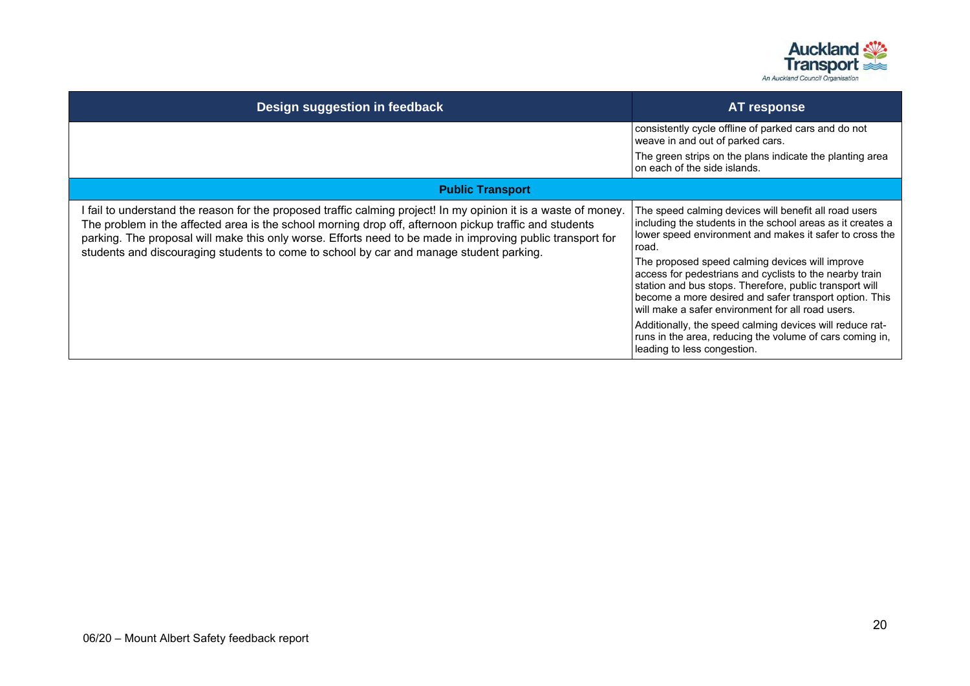

| Design suggestion in feedback                                                                                                                                                                                                                                                                                                                                                                                                      | <b>AT response</b>                                                                                                                                                                                                                                                                                                                                                                                                                                                                                                                                                                                                                     |
|------------------------------------------------------------------------------------------------------------------------------------------------------------------------------------------------------------------------------------------------------------------------------------------------------------------------------------------------------------------------------------------------------------------------------------|----------------------------------------------------------------------------------------------------------------------------------------------------------------------------------------------------------------------------------------------------------------------------------------------------------------------------------------------------------------------------------------------------------------------------------------------------------------------------------------------------------------------------------------------------------------------------------------------------------------------------------------|
|                                                                                                                                                                                                                                                                                                                                                                                                                                    | consistently cycle offline of parked cars and do not<br>weave in and out of parked cars.                                                                                                                                                                                                                                                                                                                                                                                                                                                                                                                                               |
|                                                                                                                                                                                                                                                                                                                                                                                                                                    | The green strips on the plans indicate the planting area<br>on each of the side islands.                                                                                                                                                                                                                                                                                                                                                                                                                                                                                                                                               |
| <b>Public Transport</b>                                                                                                                                                                                                                                                                                                                                                                                                            |                                                                                                                                                                                                                                                                                                                                                                                                                                                                                                                                                                                                                                        |
| I fail to understand the reason for the proposed traffic calming project! In my opinion it is a waste of money.<br>The problem in the affected area is the school morning drop off, afternoon pickup traffic and students<br>parking. The proposal will make this only worse. Efforts need to be made in improving public transport for<br>students and discouraging students to come to school by car and manage student parking. | The speed calming devices will benefit all road users<br>including the students in the school areas as it creates a<br>lower speed environment and makes it safer to cross the<br>road.<br>The proposed speed calming devices will improve<br>access for pedestrians and cyclists to the nearby train<br>station and bus stops. Therefore, public transport will<br>become a more desired and safer transport option. This<br>will make a safer environment for all road users.<br>Additionally, the speed calming devices will reduce rat-<br>runs in the area, reducing the volume of cars coming in,<br>leading to less congestion. |